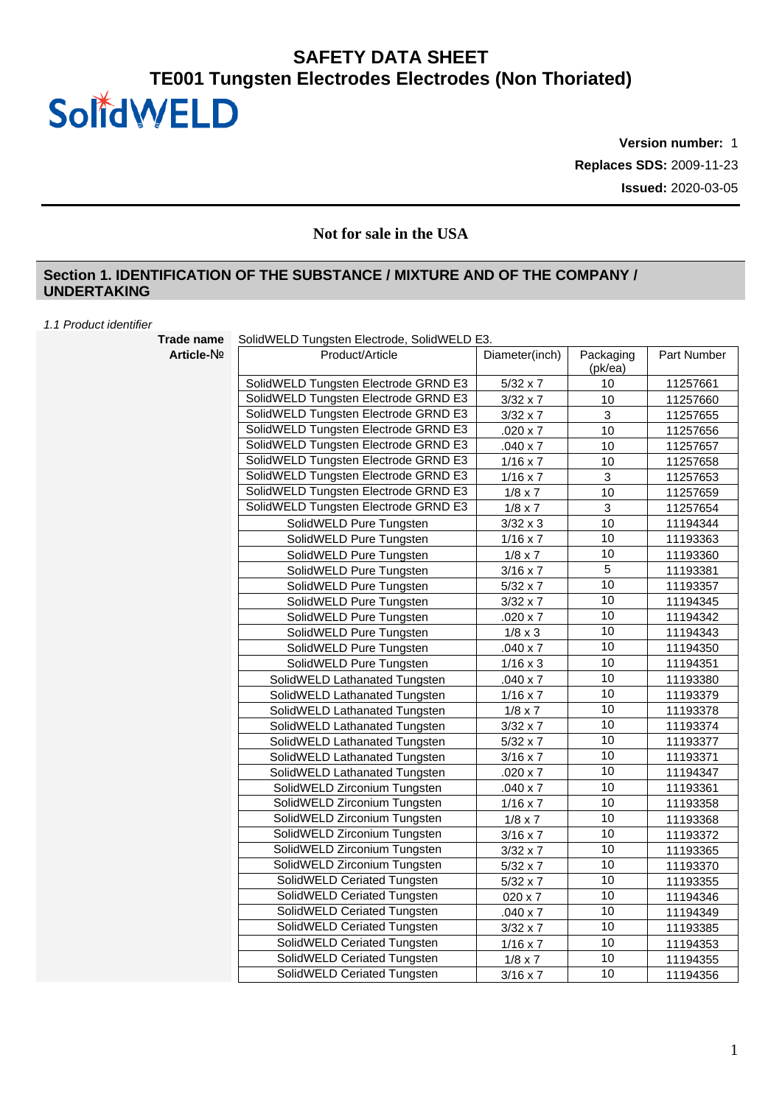**Version number:** 1 **Replaces SDS:** 2009-11-23 **Issued:** 2020-03-05

### **Not for sale in the USA**

#### **Section 1. IDENTIFICATION OF THE SUBSTANCE / MIXTURE AND OF THE COMPANY / UNDERTAKING**

#### *1.1 Product identifier*

**Trade name** SolidWELD Tungsten Electrode, SolidWELD E3.

| Trade name | SOIIQVVELD TUNGSTEN EIECTROOG, SOIIQVVELD E3. |                 |                      |             |  |  |
|------------|-----------------------------------------------|-----------------|----------------------|-------------|--|--|
| Article-No | Product/Article                               | Diameter(inch)  | Packaging<br>(pk/ea) | Part Number |  |  |
|            | SolidWELD Tungsten Electrode GRND E3          | $5/32 \times 7$ | 10                   | 11257661    |  |  |
|            | SolidWELD Tungsten Electrode GRND E3          | $3/32 \times 7$ | 10                   | 11257660    |  |  |
|            | SolidWELD Tungsten Electrode GRND E3          | $3/32 \times 7$ | $\mathsf 3$          | 11257655    |  |  |
|            | SolidWELD Tungsten Electrode GRND E3          | $.020 \times 7$ | 10                   | 11257656    |  |  |
|            | SolidWELD Tungsten Electrode GRND E3          | $.040 \times 7$ | 10                   | 11257657    |  |  |
|            | SolidWELD Tungsten Electrode GRND E3          | $1/16 \times 7$ | 10                   | 11257658    |  |  |
|            | SolidWELD Tungsten Electrode GRND E3          | $1/16 \times 7$ | $\mathbf{3}$         | 11257653    |  |  |
|            | SolidWELD Tungsten Electrode GRND E3          | $1/8 \times 7$  | 10                   | 11257659    |  |  |
|            | SolidWELD Tungsten Electrode GRND E3          | $1/8 \times 7$  | $\mathfrak{Z}$       | 11257654    |  |  |
|            | SolidWELD Pure Tungsten                       | $3/32 \times 3$ | 10                   | 11194344    |  |  |
|            | SolidWELD Pure Tungsten                       | $1/16 \times 7$ | 10                   | 11193363    |  |  |
|            | SolidWELD Pure Tungsten                       | $1/8 \times 7$  | 10                   | 11193360    |  |  |
|            | SolidWELD Pure Tungsten                       | $3/16 \times 7$ | 5                    | 11193381    |  |  |
|            | SolidWELD Pure Tungsten                       | $5/32 \times 7$ | 10                   | 11193357    |  |  |
|            | SolidWELD Pure Tungsten                       | $3/32 \times 7$ | 10                   | 11194345    |  |  |
|            | SolidWELD Pure Tungsten                       | $.020 \times 7$ | 10                   | 11194342    |  |  |
|            | SolidWELD Pure Tungsten                       | $1/8 \times 3$  | 10                   | 11194343    |  |  |
|            | SolidWELD Pure Tungsten                       | $.040 \times 7$ | 10                   | 11194350    |  |  |
|            | SolidWELD Pure Tungsten                       | $1/16 \times 3$ | 10                   | 11194351    |  |  |
|            | SolidWELD Lathanated Tungsten                 | $.040 \times 7$ | 10                   | 11193380    |  |  |
|            | SolidWELD Lathanated Tungsten                 | $1/16 \times 7$ | 10                   | 11193379    |  |  |
|            | SolidWELD Lathanated Tungsten                 | $1/8 \times 7$  | 10                   | 11193378    |  |  |
|            | SolidWELD Lathanated Tungsten                 | $3/32 \times 7$ | 10                   | 11193374    |  |  |
|            | SolidWELD Lathanated Tungsten                 | $5/32 \times 7$ | 10                   | 11193377    |  |  |
|            | SolidWELD Lathanated Tungsten                 | $3/16 \times 7$ | 10                   | 11193371    |  |  |
|            | SolidWELD Lathanated Tungsten                 | $.020 \times 7$ | 10                   | 11194347    |  |  |
|            | SolidWELD Zirconium Tungsten                  | $.040 \times 7$ | 10                   | 11193361    |  |  |
|            | SolidWELD Zirconium Tungsten                  | $1/16 \times 7$ | 10                   | 11193358    |  |  |
|            | SolidWELD Zirconium Tungsten                  | $1/8 \times 7$  | 10                   | 11193368    |  |  |
|            | SolidWELD Zirconium Tungsten                  | $3/16 \times 7$ | 10                   | 11193372    |  |  |
|            | SolidWELD Zirconium Tungsten                  | $3/32 \times 7$ | 10                   | 11193365    |  |  |
|            | SolidWELD Zirconium Tungsten                  | $5/32 \times 7$ | 10                   | 11193370    |  |  |
|            | SolidWELD Ceriated Tungsten                   | $5/32 \times 7$ | 10                   | 11193355    |  |  |
|            | SolidWELD Ceriated Tungsten                   | 020 x 7         | 10                   | 11194346    |  |  |
|            | SolidWELD Ceriated Tungsten                   | $.040 \times 7$ | 10                   | 11194349    |  |  |
|            | SolidWELD Ceriated Tungsten                   | $3/32 \times 7$ | 10                   | 11193385    |  |  |
|            | SolidWELD Ceriated Tungsten                   | $1/16 \times 7$ | 10                   | 11194353    |  |  |
|            | SolidWELD Ceriated Tungsten                   | $1/8 \times 7$  | 10                   | 11194355    |  |  |
|            | SolidWELD Ceriated Tungsten                   | $3/16 \times 7$ | 10                   | 11194356    |  |  |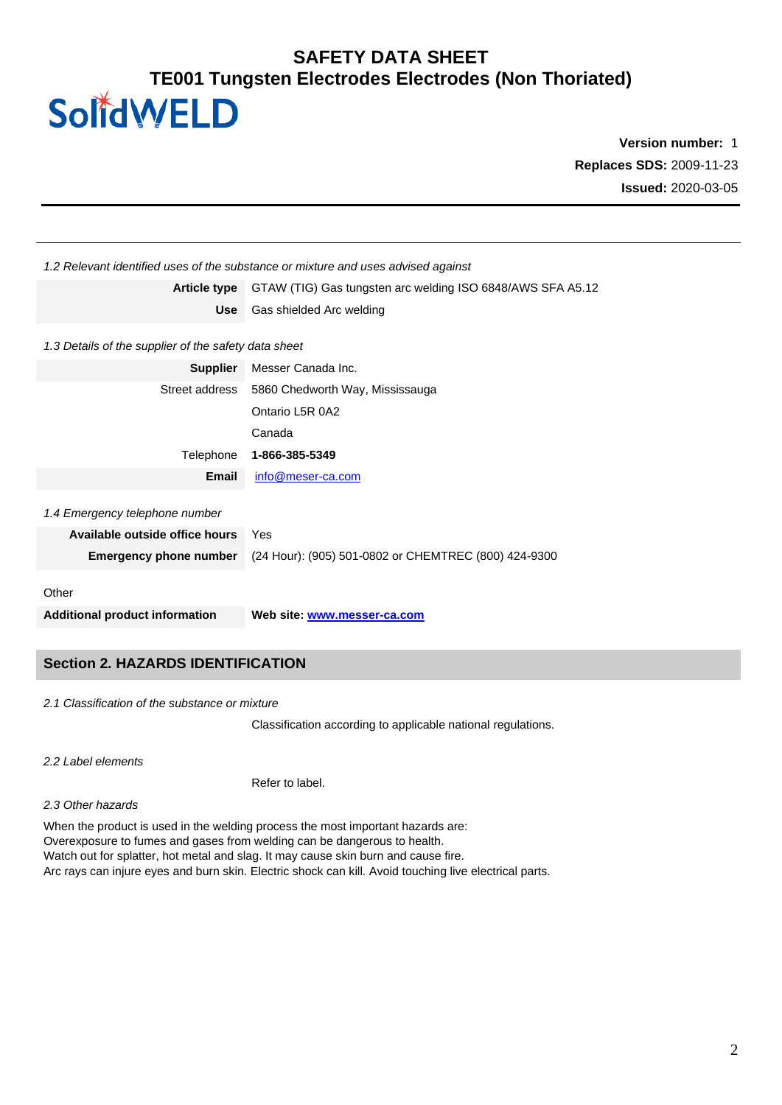# **Version number:** 1 **Replaces SDS:** 2009-11-23 **Issued:** 2020-03-05

|                                                      | 1.2 Relevant identified uses of the substance or mixture and uses advised against |
|------------------------------------------------------|-----------------------------------------------------------------------------------|
| <b>Article type</b>                                  | GTAW (TIG) Gas tungsten arc welding ISO 6848/AWS SFA A5.12                        |
| <b>Use</b>                                           | Gas shielded Arc welding                                                          |
| 1.3 Details of the supplier of the safety data sheet |                                                                                   |
| <b>Supplier</b>                                      | Messer Canada Inc.                                                                |
|                                                      | Street address 5860 Chedworth Way, Mississauga                                    |
|                                                      | Ontario L5R 0A2                                                                   |
|                                                      | Canada                                                                            |
| Telephone                                            | 1-866-385-5349                                                                    |
| Email                                                | info@meser-ca.com                                                                 |
| 1.4 Emergency telephone number                       |                                                                                   |
| Available outside office hours                       | Yes                                                                               |
| <b>Emergency phone number</b>                        | (24 Hour): (905) 501-0802 or CHEMTREC (800) 424-9300                              |
| Other                                                |                                                                                   |
| <b>Additional product information</b>                | Web site: www.messer-ca.com                                                       |
|                                                      |                                                                                   |

### **Section 2. HAZARDS IDENTIFICATION**

*2.1 Classification of the substance or mixture*

Classification according to applicable national regulations.

*2.2 Label elements*

Refer to label.

*2.3 Other hazards*

When the product is used in the welding process the most important hazards are: Overexposure to fumes and gases from welding can be dangerous to health. Watch out for splatter, hot metal and slag. It may cause skin burn and cause fire. Arc rays can injure eyes and burn skin. Electric shock can kill. Avoid touching live electrical parts.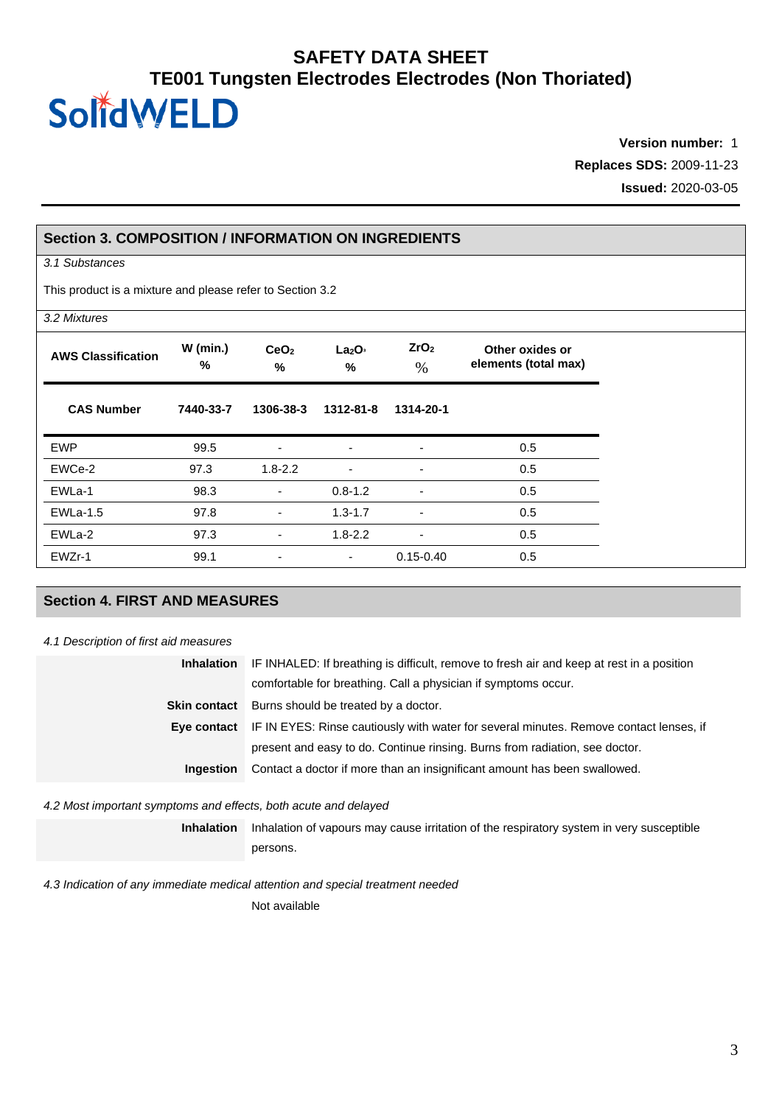**Version number:** 1 **Replaces SDS:** 2009-11-23 **Issued:** 2020-03-05

#### **Section 3. COMPOSITION / INFORMATION ON INGREDIENTS**

*3.1 Substances*

This product is a mixture and please refer to Section 3.2

| 3.2 Mixtures              |                 |                          |                                     |                          |                                         |
|---------------------------|-----------------|--------------------------|-------------------------------------|--------------------------|-----------------------------------------|
| <b>AWS Classification</b> | $W$ (min.)<br>% | CeO <sub>2</sub><br>%    | La <sub>2</sub> O <sub>3</sub><br>% | ZrO <sub>2</sub><br>$\%$ | Other oxides or<br>elements (total max) |
| <b>CAS Number</b>         | 7440-33-7       | 1306-38-3                | 1312-81-8                           | 1314-20-1                |                                         |
| <b>EWP</b>                | 99.5            | ٠                        | ٠                                   | ٠                        | 0.5                                     |
| EWCe-2                    | 97.3            | $1.8 - 2.2$              | $\blacksquare$                      | $\overline{\phantom{0}}$ | 0.5                                     |
| EWLa-1                    | 98.3            | ٠                        | $0.8 - 1.2$                         | $\overline{\phantom{a}}$ | 0.5                                     |
| <b>EWLa-1.5</b>           | 97.8            | $\overline{\phantom{a}}$ | $1.3 - 1.7$                         | $\overline{\phantom{a}}$ | 0.5                                     |
| EWLa-2                    | 97.3            | ٠                        | $1.8 - 2.2$                         | $\overline{\phantom{a}}$ | 0.5                                     |
| EWZr-1                    | 99.1            |                          | $\overline{\phantom{a}}$            | $0.15 - 0.40$            | 0.5                                     |

### **Section 4. FIRST AND MEASURES**

#### *4.1 Description of first aid measures*

| <b>Inhalation</b>                                           | IF INHALED: If breathing is difficult, remove to fresh air and keep at rest in a position          |
|-------------------------------------------------------------|----------------------------------------------------------------------------------------------------|
|                                                             | comfortable for breathing. Call a physician if symptoms occur.                                     |
| Burns should be treated by a doctor.<br><b>Skin contact</b> |                                                                                                    |
|                                                             | Eye contact IF IN EYES: Rinse cautiously with water for several minutes. Remove contact lenses, if |
|                                                             | present and easy to do. Continue rinsing. Burns from radiation, see doctor.                        |
| <b>Ingestion</b>                                            | Contact a doctor if more than an insignificant amount has been swallowed.                          |

*4.2 Most important symptoms and effects, both acute and delayed*

**Inhalation** Inhalation of vapours may cause irritation of the respiratory system in very susceptible persons.

*4.3 Indication of any immediate medical attention and special treatment needed*

Not available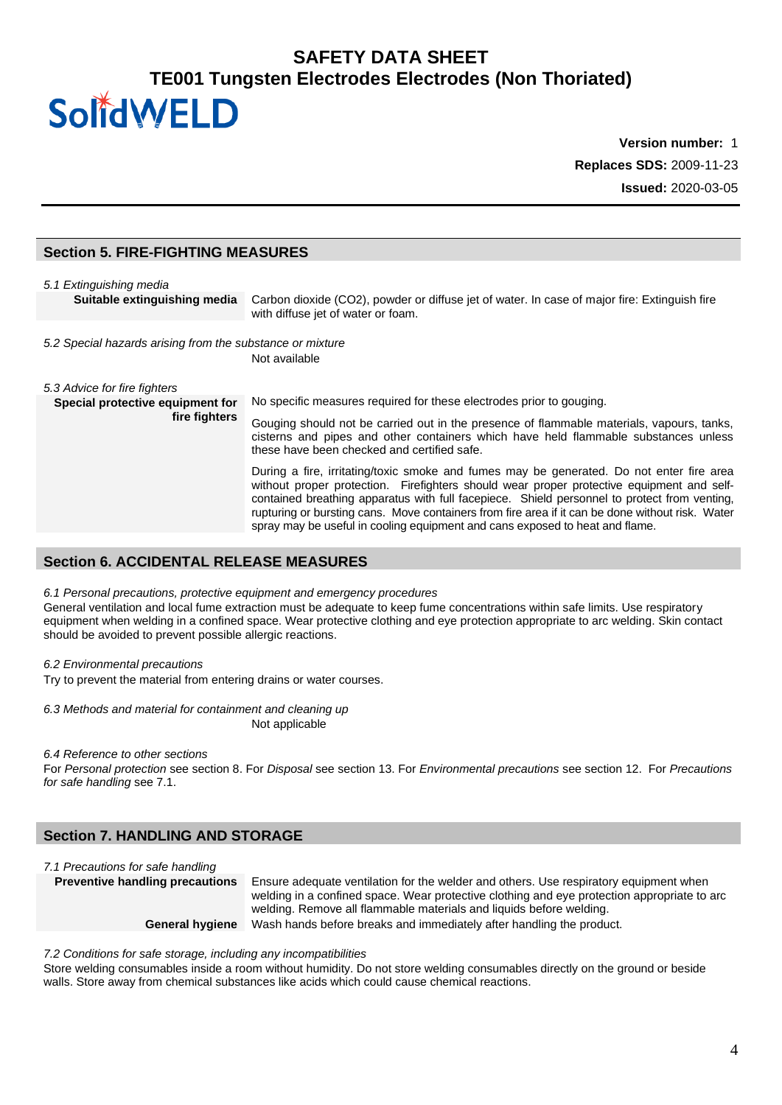# **Version number:** 1 **Replaces SDS:** 2009-11-23 **Issued:** 2020-03-05

#### **Section 5. FIRE-FIGHTING MEASURES**

| 5.1 Extinguishing media                                   |                                                                                                                                                                                                                                                                                                                                                                                                                                                                           |  |
|-----------------------------------------------------------|---------------------------------------------------------------------------------------------------------------------------------------------------------------------------------------------------------------------------------------------------------------------------------------------------------------------------------------------------------------------------------------------------------------------------------------------------------------------------|--|
| Suitable extinguishing media                              | Carbon dioxide (CO2), powder or diffuse jet of water. In case of major fire: Extinguish fire<br>with diffuse jet of water or foam.                                                                                                                                                                                                                                                                                                                                        |  |
| 5.2 Special hazards arising from the substance or mixture | Not available                                                                                                                                                                                                                                                                                                                                                                                                                                                             |  |
| 5.3 Advice for fire fighters                              |                                                                                                                                                                                                                                                                                                                                                                                                                                                                           |  |
| Special protective equipment for<br>fire fighters         | No specific measures required for these electrodes prior to gouging.<br>Gouging should not be carried out in the presence of flammable materials, vapours, tanks,<br>cisterns and pipes and other containers which have held flammable substances unless<br>these have been checked and certified safe.                                                                                                                                                                   |  |
|                                                           | During a fire, irritating/toxic smoke and fumes may be generated. Do not enter fire area<br>without proper protection. Firefighters should wear proper protective equipment and self-<br>contained breathing apparatus with full facepiece. Shield personnel to protect from venting,<br>rupturing or bursting cans. Move containers from fire area if it can be done without risk. Water<br>spray may be useful in cooling equipment and cans exposed to heat and flame. |  |

#### **Section 6. ACCIDENTAL RELEASE MEASURES**

#### *6.1 Personal precautions, protective equipment and emergency procedures*

General ventilation and local fume extraction must be adequate to keep fume concentrations within safe limits. Use respiratory equipment when welding in a confined space. Wear protective clothing and eye protection appropriate to arc welding. Skin contact should be avoided to prevent possible allergic reactions.

#### *6.2 Environmental precautions*

Try to prevent the material from entering drains or water courses.

#### *6.3 Methods and material for containment and cleaning up*

Not applicable

#### *6.4 Reference to other sections*

For *Personal protection* see section 8. For *Disposal* see section 13. For *Environmental precautions* see section 12. For *Precautions for safe handling* see 7.1.

### **Section 7. HANDLING AND STORAGE**

*7.1 Precautions for safe handling*

**Preventive handling precautions** Ensure adequate ventilation for the welder and others. Use respiratory equipment when welding in a confined space. Wear protective clothing and eye protection appropriate to arc welding. Remove all flammable materials and liquids before welding. **General hygiene** Wash hands before breaks and immediately after handling the product.

*7.2 Conditions for safe storage, including any incompatibilities*

Store welding consumables inside a room without humidity. Do not store welding consumables directly on the ground or beside walls. Store away from chemical substances like acids which could cause chemical reactions.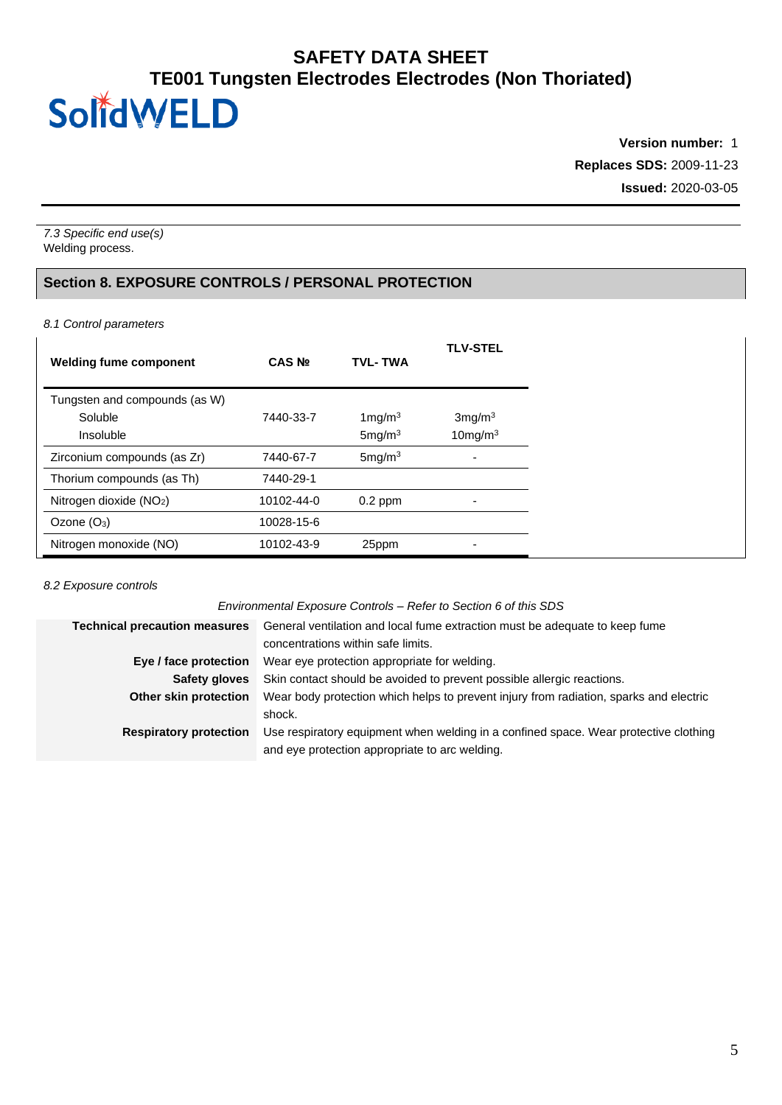**Version number:** 1 **Replaces SDS:** 2009-11-23 **Issued:** 2020-03-05

*7.3 Specific end use(s)* Welding process.

### **Section 8. EXPOSURE CONTROLS / PERSONAL PROTECTION**

*8.1 Control parameters*

| <b>Welding fume component</b>       | CAS <sub>Nº</sub> | <b>TVL-TWA</b>     | <b>TLV-STEL</b>    |
|-------------------------------------|-------------------|--------------------|--------------------|
| Tungsten and compounds (as W)       |                   |                    |                    |
| Soluble                             | 7440-33-7         | $1$ mg/m $3$       | 3mg/m <sup>3</sup> |
| Insoluble                           |                   | 5mg/m <sup>3</sup> | $10$ mg/m $3$      |
| Zirconium compounds (as Zr)         | 7440-67-7         | 5mg/m <sup>3</sup> | $\blacksquare$     |
| Thorium compounds (as Th)           | 7440-29-1         |                    |                    |
| Nitrogen dioxide (NO <sub>2</sub> ) | 10102-44-0        | $0.2$ ppm          | ۰                  |
| Ozone $(O_3)$                       | 10028-15-6        |                    |                    |
| Nitrogen monoxide (NO)              | 10102-43-9        | 25ppm              | -                  |

*8.2 Exposure controls*

*Environmental Exposure Controls – Refer to Section 6 of this SDS*

| General ventilation and local fume extraction must be adequate to keep fume            |
|----------------------------------------------------------------------------------------|
| concentrations within safe limits.                                                     |
| Wear eye protection appropriate for welding.                                           |
| Skin contact should be avoided to prevent possible allergic reactions.                 |
| Wear body protection which helps to prevent injury from radiation, sparks and electric |
| shock.                                                                                 |
| Use respiratory equipment when welding in a confined space. Wear protective clothing   |
| and eye protection appropriate to arc welding.                                         |
|                                                                                        |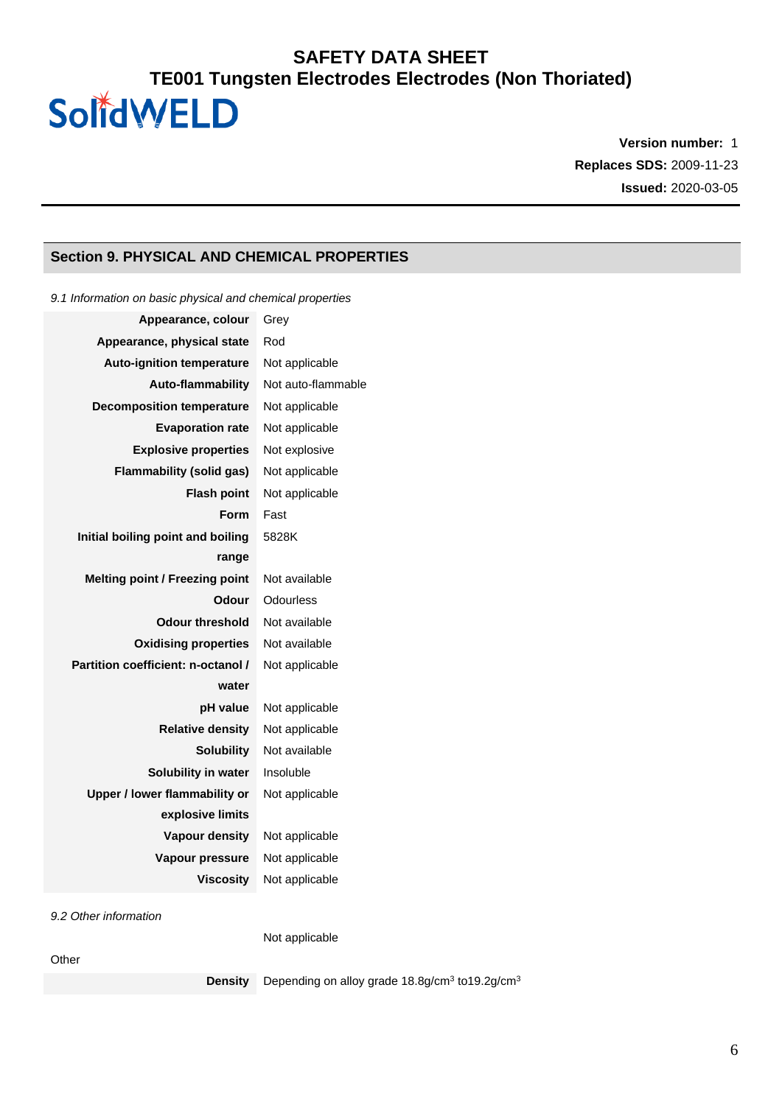**Version number:** 1 **Replaces SDS:** 2009-11-23 **Issued:** 2020-03-05

### **Section 9. PHYSICAL AND CHEMICAL PROPERTIES**

| 9.1 Information on basic physical and chemical properties |                    |  |  |
|-----------------------------------------------------------|--------------------|--|--|
| Appearance, colour                                        | Grey               |  |  |
| Appearance, physical state                                | Rod                |  |  |
| <b>Auto-ignition temperature</b>                          | Not applicable     |  |  |
| <b>Auto-flammability</b>                                  | Not auto-flammable |  |  |
| <b>Decomposition temperature</b>                          | Not applicable     |  |  |
| <b>Evaporation rate</b>                                   | Not applicable     |  |  |
| <b>Explosive properties</b>                               | Not explosive      |  |  |
| <b>Flammability (solid gas)</b>                           | Not applicable     |  |  |
| <b>Flash point</b>                                        | Not applicable     |  |  |
| <b>Form</b>                                               | Fast               |  |  |
| Initial boiling point and boiling                         | 5828K              |  |  |
| range                                                     |                    |  |  |
| <b>Melting point / Freezing point</b>                     | Not available      |  |  |
| Odour                                                     | Odourless          |  |  |
| <b>Odour threshold</b>                                    | Not available      |  |  |
| <b>Oxidising properties</b>                               | Not available      |  |  |
| Partition coefficient: n-octanol /                        | Not applicable     |  |  |
| water                                                     |                    |  |  |
| pH value                                                  | Not applicable     |  |  |
| <b>Relative density</b>                                   | Not applicable     |  |  |
| <b>Solubility</b>                                         | Not available      |  |  |
| Solubility in water                                       | Insoluble          |  |  |
| Upper / lower flammability or                             | Not applicable     |  |  |
| explosive limits                                          |                    |  |  |
| <b>Vapour density</b>                                     | Not applicable     |  |  |
| Vapour pressure                                           | Not applicable     |  |  |
| <b>Viscosity</b>                                          | Not applicable     |  |  |
| $0.2$ Other information                                   |                    |  |  |

*9.2 Other information*

Not applicable

#### **Other**

**Density** Depending on alloy grade 18.8g/cm<sup>3</sup> to 19.2g/cm<sup>3</sup>

6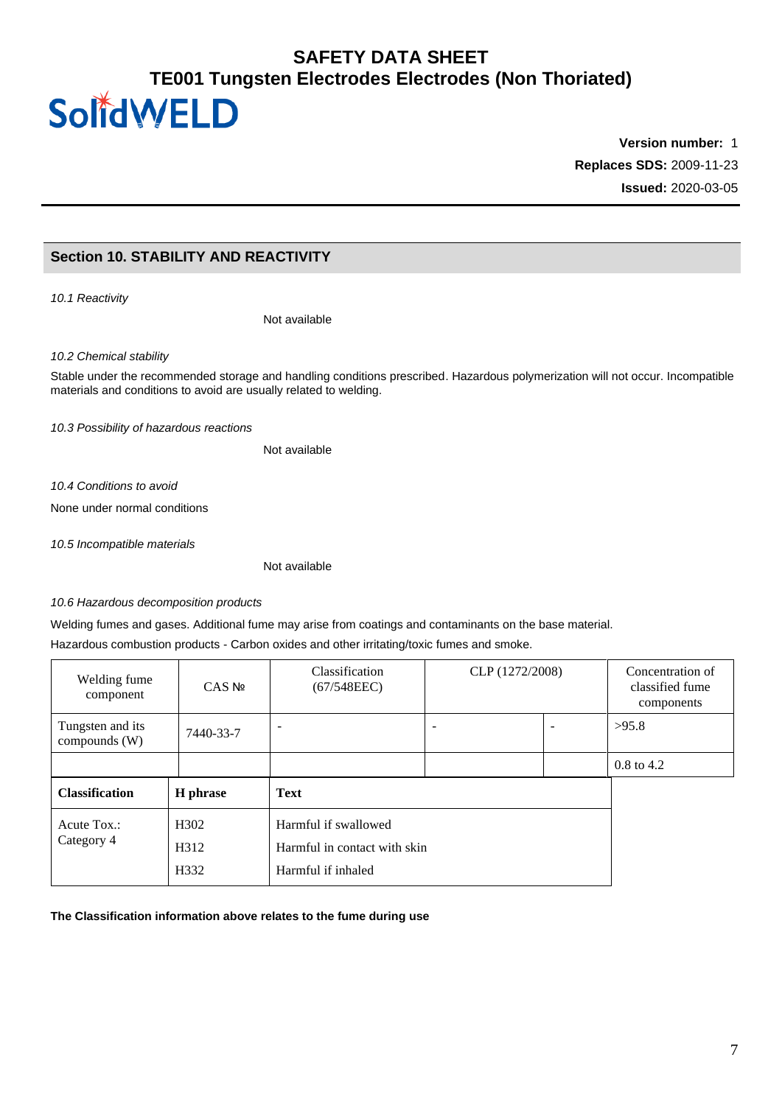# **Version number:** 1 **Replaces SDS:** 2009-11-23 **Issued:** 2020-03-05

### **Section 10. STABILITY AND REACTIVITY**

*10.1 Reactivity*

Not available

*10.2 Chemical stability*

Stable under the recommended storage and handling conditions prescribed. Hazardous polymerization will not occur. Incompatible materials and conditions to avoid are usually related to welding.

*10.3 Possibility of hazardous reactions*

Not available

*10.4 Conditions to avoid*

None under normal conditions

*10.5 Incompatible materials*

Not available

#### *10.6 Hazardous decomposition products*

Welding fumes and gases. Additional fume may arise from coatings and contaminants on the base material.

Hazardous combustion products - Carbon oxides and other irritating/toxic fumes and smoke.

| Welding fume<br>component         | $CAS$ No          | <b>Classification</b><br>(67/548EEC) | CLP (1272/2008) |  | Concentration of<br>classified fume<br>components |
|-----------------------------------|-------------------|--------------------------------------|-----------------|--|---------------------------------------------------|
| Tungsten and its<br>compounds (W) | 7440-33-7         |                                      |                 |  | >95.8                                             |
|                                   |                   |                                      |                 |  | $0.8 \text{ to } 4.2$                             |
| <b>Classification</b>             | H phrase          | <b>Text</b>                          |                 |  |                                                   |
| Acute Tox.:                       | H <sub>302</sub>  | Harmful if swallowed                 |                 |  |                                                   |
| Category 4                        | H <sub>3</sub> 12 | Harmful in contact with skin         |                 |  |                                                   |
|                                   | H <sub>332</sub>  | Harmful if inhaled                   |                 |  |                                                   |

#### **The Classification information above relates to the fume during use**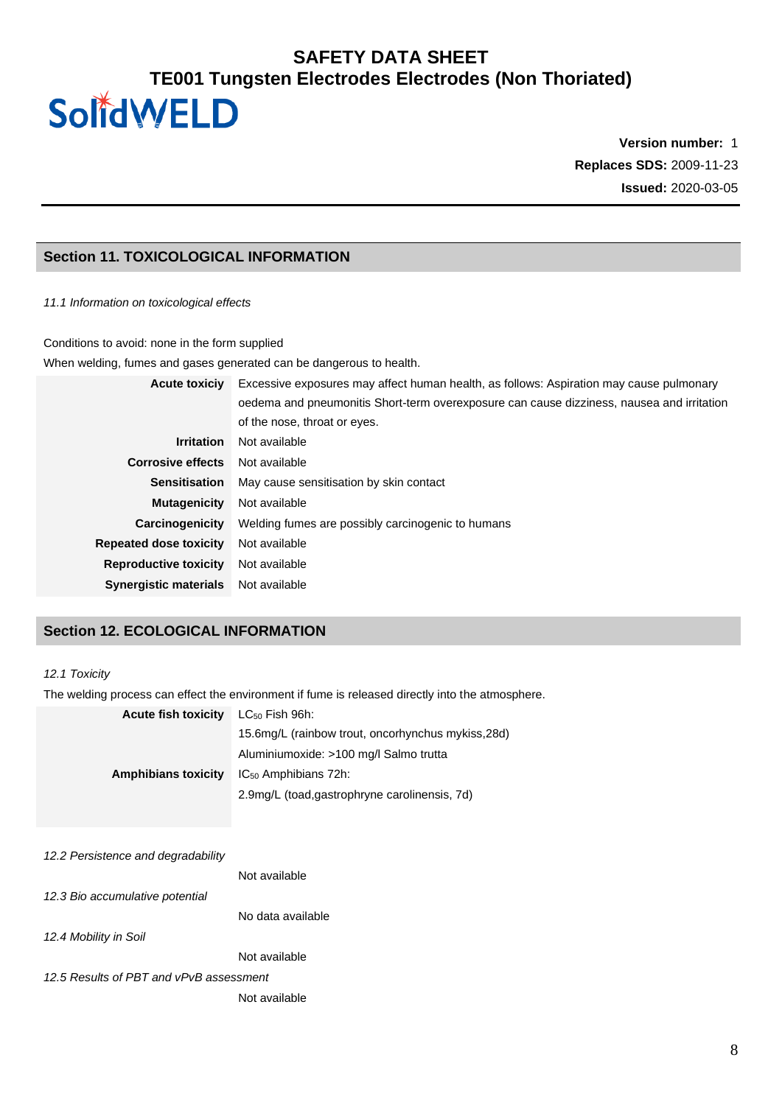**Version number:** 1 **Replaces SDS:** 2009-11-23 **Issued:** 2020-03-05

### **Section 11. TOXICOLOGICAL INFORMATION**

#### *11.1 Information on toxicological effects*

Conditions to avoid: none in the form supplied

When welding, fumes and gases generated can be dangerous to health.

| <b>Acute toxiciv</b>          | Excessive exposures may affect human health, as follows: Aspiration may cause pulmonary   |  |  |
|-------------------------------|-------------------------------------------------------------------------------------------|--|--|
|                               | oedema and pneumonitis Short-term overexposure can cause dizziness, nausea and irritation |  |  |
|                               | of the nose, throat or eyes.                                                              |  |  |
| <b>Irritation</b>             | Not available                                                                             |  |  |
| <b>Corrosive effects</b>      | Not available                                                                             |  |  |
| <b>Sensitisation</b>          | May cause sensitisation by skin contact                                                   |  |  |
| <b>Mutagenicity</b>           | Not available                                                                             |  |  |
| Carcinogenicity               | Welding fumes are possibly carcinogenic to humans                                         |  |  |
| <b>Repeated dose toxicity</b> | Not available                                                                             |  |  |
| <b>Reproductive toxicity</b>  | Not available                                                                             |  |  |
| <b>Synergistic materials</b>  | Not available                                                                             |  |  |

### **Section 12. ECOLOGICAL INFORMATION**

#### *12.1 Toxicity*

The welding process can effect the environment if fume is released directly into the atmosphere.

| $LC_{50}$ Fish 96h:                                |
|----------------------------------------------------|
| 15.6mg/L (rainbow trout, oncorhynchus mykiss, 28d) |
| Aluminiumoxide: >100 mg/l Salmo trutta             |
| $IC_{50}$ Amphibians 72h:                          |
| 2.9mg/L (toad,gastrophryne carolinensis, 7d)       |
|                                                    |

| 12.2 Persistence and degradability      |                   |
|-----------------------------------------|-------------------|
|                                         | Not available     |
| 12.3 Bio accumulative potential         |                   |
|                                         | No data available |
| 12.4 Mobility in Soil                   |                   |
|                                         | Not available     |
| 12.5 Results of PBT and vPvB assessment |                   |
|                                         | Not available     |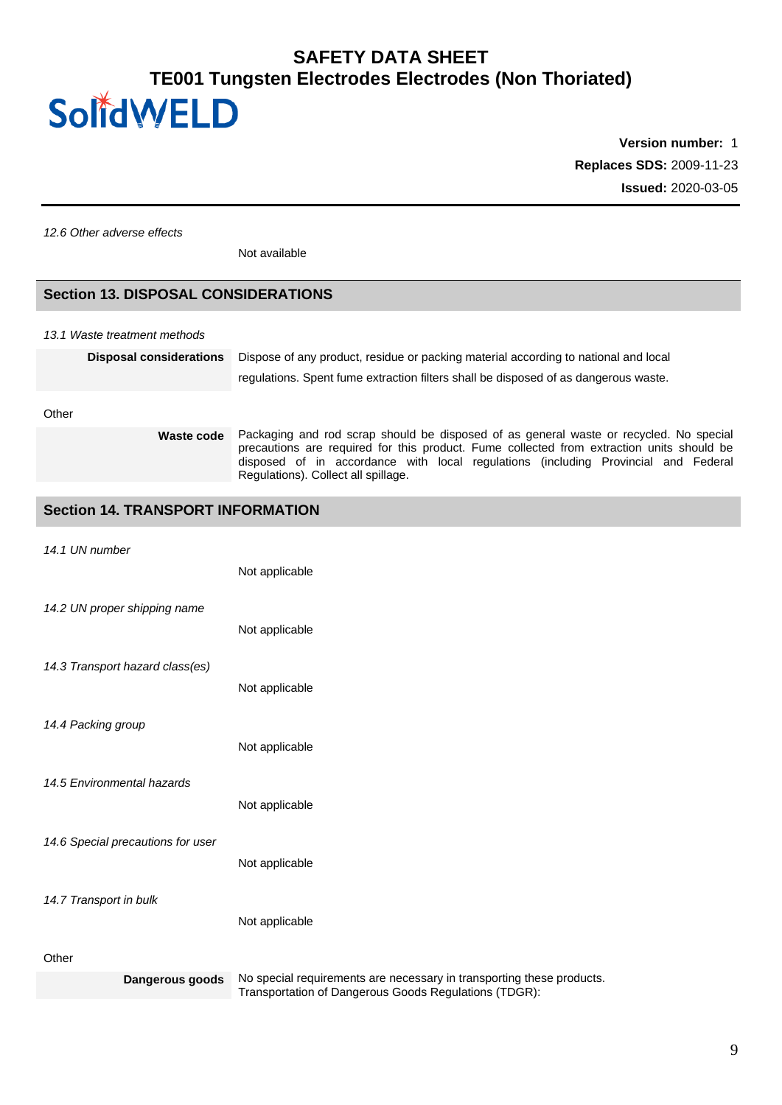# SolidWELD

**Version number:** 1 **Replaces SDS:** 2009-11-23 **Issued:** 2020-03-05

*12.6 Other adverse effects*

Not available

### **Section 13. DISPOSAL CONSIDERATIONS**

*13.1 Waste treatment methods*

| <b>Disposal considerations</b> | Dispose of any product, residue or packing material according to national and local<br>regulations. Spent fume extraction filters shall be disposed of as dangerous waste. |
|--------------------------------|----------------------------------------------------------------------------------------------------------------------------------------------------------------------------|
|                                |                                                                                                                                                                            |

**Other** 

**Waste code** Packaging and rod scrap should be disposed of as general waste or recycled. No special precautions are required for this product. Fume collected from extraction units should be disposed of in accordance with local regulations (including Provincial and Federal Regulations). Collect all spillage.

### **Section 14. TRANSPORT INFORMATION**

|  | 14.1 UN number |
|--|----------------|
|  |                |

| Dangerous goods                   | No special requirements are necessary in transporting these products. |
|-----------------------------------|-----------------------------------------------------------------------|
| Other                             |                                                                       |
| 14.7 Transport in bulk            | Not applicable                                                        |
|                                   |                                                                       |
| 14.6 Special precautions for user | Not applicable                                                        |
| 14.5 Environmental hazards        | Not applicable                                                        |
|                                   |                                                                       |
| 14.4 Packing group                | Not applicable                                                        |
| 14.3 Transport hazard class(es)   | Not applicable                                                        |
|                                   | Not applicable                                                        |
| 14.2 UN proper shipping name      |                                                                       |
|                                   | Not applicable                                                        |
| 14.1 UN HUHIDEI                   |                                                                       |

Transportation of Dangerous Goods Regulations (TDGR):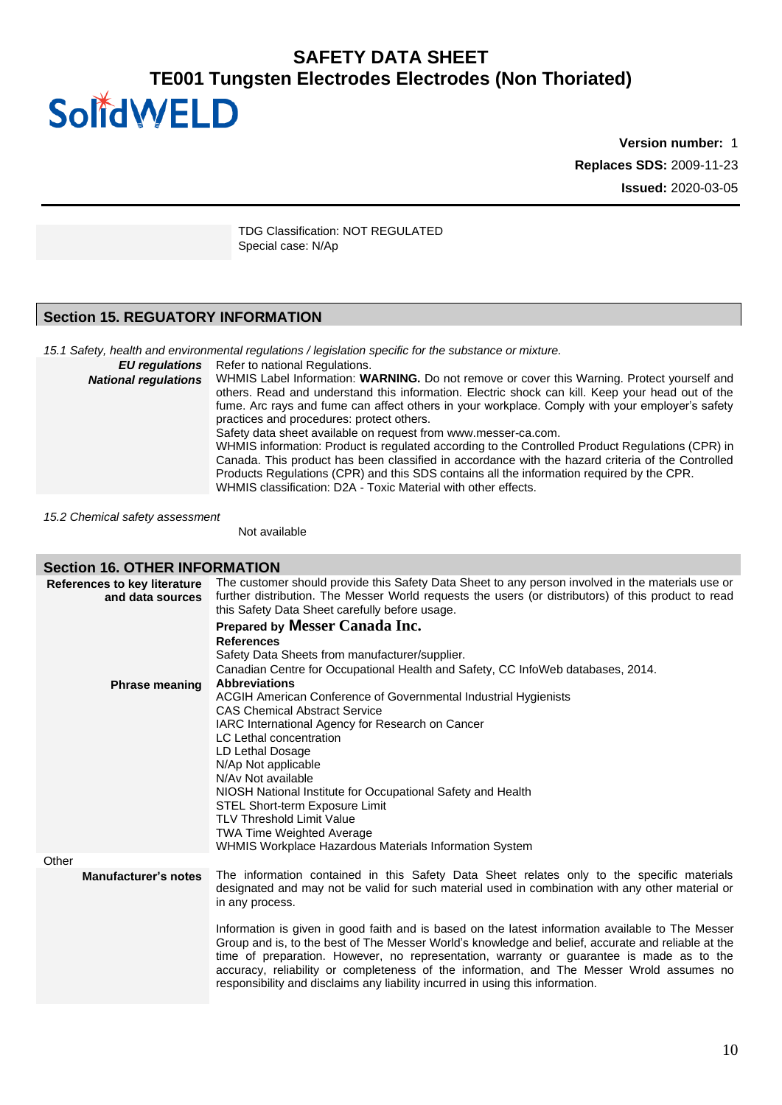# **Version number:** 1 **Replaces SDS:** 2009-11-23 **Issued:** 2020-03-05

TDG Classification: NOT REGULATED Special case: N/Ap

### **Section 15. REGUATORY INFORMATION**

SolidWELD

*15.1 Safety, health and environmental regulations / legislation specific for the substance or mixture.*

*EU regulations* Refer to national Regulations. *National regulations* WHMIS Label Information: **WARNING.** Do not remove or cover this Warning. Protect yourself and others. Read and understand this information. Electric shock can kill. Keep your head out of the fume. Arc rays and fume can affect others in your workplace. Comply with your employer's safety practices and procedures: protect others. Safety data sheet available on request from www.messer-ca.com. WHMIS information: Product is regulated according to the Controlled Product Regulations (CPR) in Canada. This product has been classified in accordance with the hazard criteria of the Controlled Products Regulations (CPR) and this SDS contains all the information required by the CPR. WHMIS classification: D2A - Toxic Material with other effects.

*15.2 Chemical safety assessment*

Not available

#### **Section 16. OTHER INFORMATION**

| <b>References to key literature</b><br>and data sources | The customer should provide this Safety Data Sheet to any person involved in the materials use or<br>further distribution. The Messer World requests the users (or distributors) of this product to read<br>this Safety Data Sheet carefully before usage.<br>Prepared by Messer Canada Inc.<br><b>References</b><br>Safety Data Sheets from manufacturer/supplier.<br>Canadian Centre for Occupational Health and Safety, CC InfoWeb databases, 2014.                                                      |
|---------------------------------------------------------|-------------------------------------------------------------------------------------------------------------------------------------------------------------------------------------------------------------------------------------------------------------------------------------------------------------------------------------------------------------------------------------------------------------------------------------------------------------------------------------------------------------|
| <b>Phrase meaning</b>                                   | <b>Abbreviations</b><br>ACGIH American Conference of Governmental Industrial Hygienists<br><b>CAS Chemical Abstract Service</b><br>IARC International Agency for Research on Cancer<br>LC Lethal concentration<br>LD Lethal Dosage<br>N/Ap Not applicable<br>N/Av Not available<br>NIOSH National Institute for Occupational Safety and Health<br>STEL Short-term Exposure Limit<br><b>TLV Threshold Limit Value</b><br>TWA Time Weighted Average<br>WHMIS Workplace Hazardous Materials Information System |
| Other                                                   |                                                                                                                                                                                                                                                                                                                                                                                                                                                                                                             |
| <b>Manufacturer's notes</b>                             | The information contained in this Safety Data Sheet relates only to the specific materials<br>designated and may not be valid for such material used in combination with any other material or<br>in any process.                                                                                                                                                                                                                                                                                           |
|                                                         | Information is given in good faith and is based on the latest information available to The Messer<br>Group and is, to the best of The Messer World's knowledge and belief, accurate and reliable at the<br>time of preparation. However, no representation, warranty or guarantee is made as to the<br>accuracy, reliability or completeness of the information, and The Messer Wrold assumes no<br>responsibility and disclaims any liability incurred in using this information.                          |